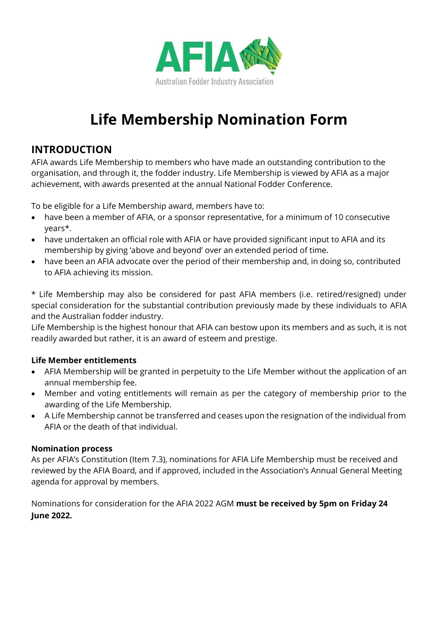

# **Life Membership Nomination Form**

## **INTRODUCTION**

AFIA awards Life Membership to members who have made an outstanding contribution to the organisation, and through it, the fodder industry. Life Membership is viewed by AFIA as a major achievement, with awards presented at the annual National Fodder Conference.

To be eligible for a Life Membership award, members have to:

- have been a member of AFIA, or a sponsor representative, for a minimum of 10 consecutive years\*.
- have undertaken an official role with AFIA or have provided significant input to AFIA and its membership by giving 'above and beyond' over an extended period of time.
- have been an AFIA advocate over the period of their membership and, in doing so, contributed to AFIA achieving its mission.

\* Life Membership may also be considered for past AFIA members (i.e. retired/resigned) under special consideration for the substantial contribution previously made by these individuals to AFIA and the Australian fodder industry.

Life Membership is the highest honour that AFIA can bestow upon its members and as such, it is not readily awarded but rather, it is an award of esteem and prestige.

### **Life Member entitlements**

- AFIA Membership will be granted in perpetuity to the Life Member without the application of an annual membership fee.
- Member and voting entitlements will remain as per the category of membership prior to the awarding of the Life Membership.
- A Life Membership cannot be transferred and ceases upon the resignation of the individual from AFIA or the death of that individual.

### **Nomination process**

As per AFIA's Constitution (Item 7.3), nominations for AFIA Life Membership must be received and reviewed by the AFIA Board, and if approved, included in the Association's Annual General Meeting agenda for approval by members.

Nominations for consideration for the AFIA 2022 AGM **must be received by 5pm on Friday 24 June 2022.**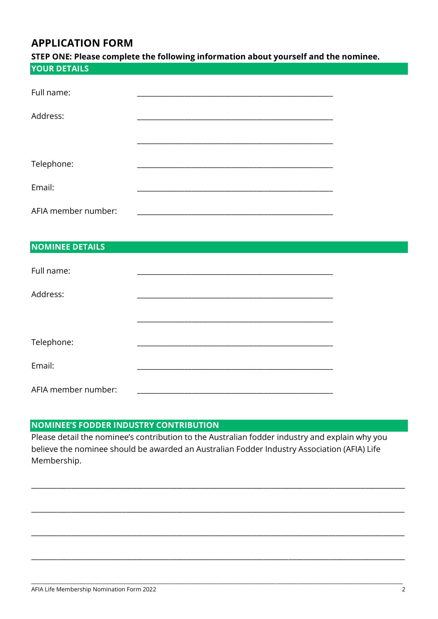## **APPLICATION FORM**

| STEP ONE: Please complete the following information about yourself and the nominee. |  |  |  |  |
|-------------------------------------------------------------------------------------|--|--|--|--|
| <b>YOUR DETAILS</b>                                                                 |  |  |  |  |
|                                                                                     |  |  |  |  |
| Full name:                                                                          |  |  |  |  |
|                                                                                     |  |  |  |  |
| Address:                                                                            |  |  |  |  |
|                                                                                     |  |  |  |  |
|                                                                                     |  |  |  |  |
|                                                                                     |  |  |  |  |
| Telephone:                                                                          |  |  |  |  |
|                                                                                     |  |  |  |  |
| Email:                                                                              |  |  |  |  |
| AFIA member number:                                                                 |  |  |  |  |
|                                                                                     |  |  |  |  |

#### NOMINEE DETAILS

| Full name:          |  |
|---------------------|--|
| Address:            |  |
|                     |  |
| Telephone:          |  |
| Email:              |  |
| AFIA member number: |  |

#### **NOMINEE'S FODDER INDUSTRY CONTRIBUTION**

Please detail the nominee's contribution to the Australian fodder industry and explain why you believe the nominee should be awarded an Australian Fodder Industry Association (AFIA) Life Membership.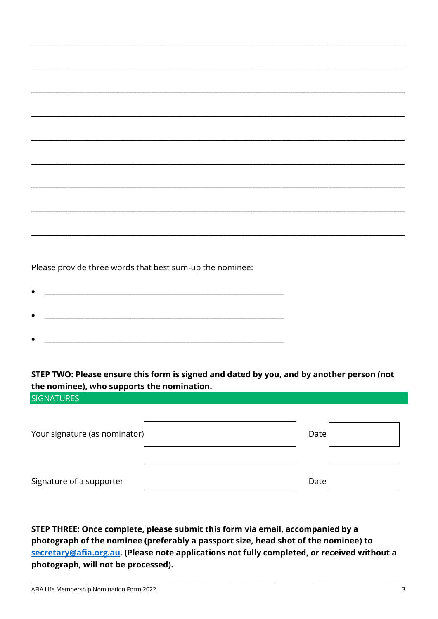Please provide three words that best sum-up the nominee:

STEP TWO: Please ensure this form is signed and dated by you, and by another person (not the nominee), who supports the nomination.

**SIGNATURES** 

| Your signature (as nominator) | Date |  |
|-------------------------------|------|--|
| Signature of a supporter      | Date |  |

STEP THREE: Once complete, please submit this form via email, accompanied by a photograph of the nominee (preferably a passport size, head shot of the nominee) to secretary@afia.org.au. (Please note applications not fully completed, or received without a photograph, will not be processed).